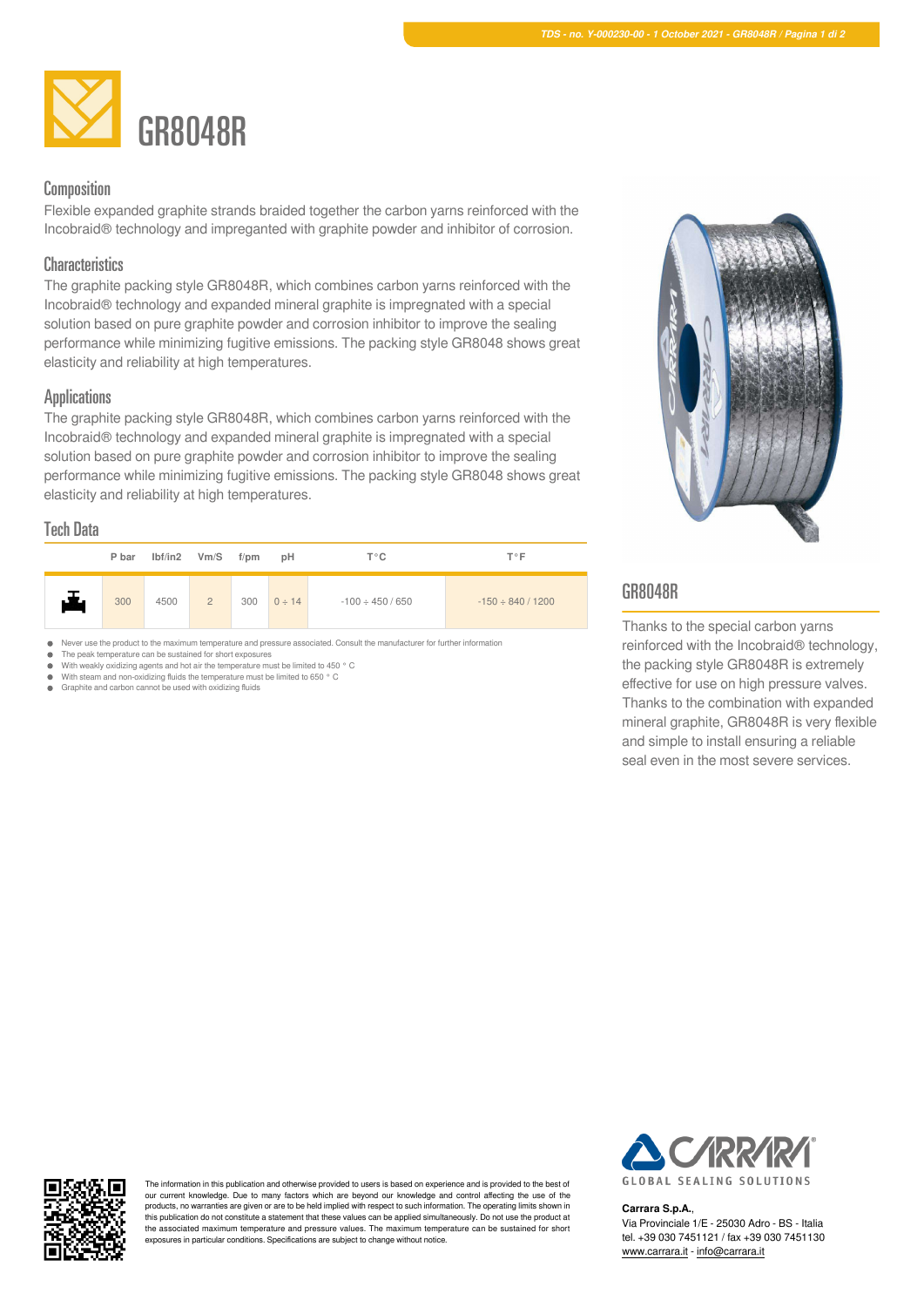

## Composition

Flexible expanded graphite strands braided together the carbon yarns reinforced with the Incobraid® technology and impreganted with graphite powder and inhibitor of corrosion.

## **Characteristics**

The graphite packing style GR8048R, which combines carbon yarns reinforced with the Incobraid® technology and expanded mineral graphite is impregnated with a special solution based on pure graphite powder and corrosion inhibitor to improve the sealing performance while minimizing fugitive emissions. The packing style GR8048 shows great elasticity and reliability at high temperatures.

### **Applications**

The graphite packing style GR8048R, which combines carbon yarns reinforced with the Incobraid® technology and expanded mineral graphite is impregnated with a special solution based on pure graphite powder and corrosion inhibitor to improve the sealing performance while minimizing fugitive emissions. The packing style GR8048 shows great elasticity and reliability at high temperatures.

### Tech Data

|   | P bar |      | $Ibf/in2$ Vm/S $f$ /pm |     | pH          | Т°С                   | <b>T</b> °F            |
|---|-------|------|------------------------|-----|-------------|-----------------------|------------------------|
| 舌 | 300   | 4500 | $\overline{2}$         | 300 | $0 \div 14$ | $-100 \div 450 / 650$ | $-150 \div 840 / 1200$ |



The peak temperature can be sustained for short exposures  $\bullet$  $\bullet$ 

With weakly oxidizing agents and hot air the temperature must be limited to 450 ° C With steam and non-oxidizing fluids the temperature must be limited to 650 ° C  $\blacksquare$ 

Graphite and carbon cannot be used with oxidizing fluids



# GR8048R

Thanks to the special carbon yarns reinforced with the Incobraid® technology, the packing style GR8048R is extremely effective for use on high pressure valves. Thanks to the combination with expanded mineral graphite, GR8048R is very flexible and simple to install ensuring a reliable seal even in the most severe services.



The information in this publication and otherwise provided to users is based on experience and is provided to the best of our current knowledge. Due to many factors which are beyond our knowledge and control affecting the use of the products, no warranties are given or are to be held implied with respect to such information. The operating limits shown in this publication do not constitute a statement that these values can be applied simultaneously. Do not use the product at the associated maximum temperature and pressure values. The maximum temperature can be sustained for short exposures in particular conditions. Specifications are subject to change without notice.



#### **Carrara S.p.A.**,

Via Provinciale 1/E - 25030 Adro - BS - Italia tel. +39 030 7451121 / fax +39 030 7451130 [www.carrara.it](https://www.carrara.it) - [info@carrara.it](mailto:info@carrara.it)